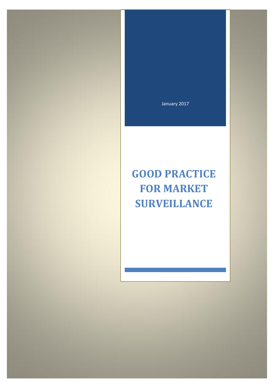January 2017

# **GOOD PRACTICE FOR MARKET SURVEILLANCE**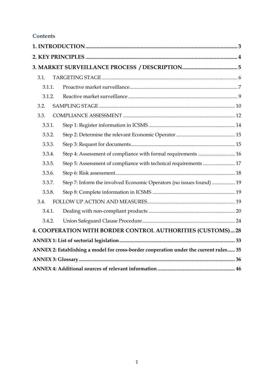# **Contents**

| 3.1.   |           |                                                                                       |  |
|--------|-----------|---------------------------------------------------------------------------------------|--|
|        | $3.1.1$ . |                                                                                       |  |
|        | 3.1.2.    |                                                                                       |  |
| 3.2.   |           |                                                                                       |  |
| 3.3.   |           |                                                                                       |  |
| 3.3.1. |           |                                                                                       |  |
|        | 3.3.2.    |                                                                                       |  |
|        | 3.3.3.    |                                                                                       |  |
|        | 3.3.4.    | Step 4: Assessment of compliance with formal requirements  16                         |  |
|        | 3.3.5.    | Step 5: Assessment of compliance with technical requirements  17                      |  |
|        | 3.3.6.    |                                                                                       |  |
|        | 3.3.7.    | Step 7: Inform the involved Economic Operators (no issues found)  19                  |  |
|        | 3.3.8.    |                                                                                       |  |
| 3.4.   |           |                                                                                       |  |
|        | 3.4.1.    |                                                                                       |  |
|        | 3.4.2.    |                                                                                       |  |
|        |           | 4. COOPERATION WITH BORDER CONTROL AUTHORITIES (CUSTOMS) 28                           |  |
|        |           |                                                                                       |  |
|        |           | ANNEX 2: Establishing a model for cross-border cooperation under the current rules 35 |  |
|        |           |                                                                                       |  |
|        |           |                                                                                       |  |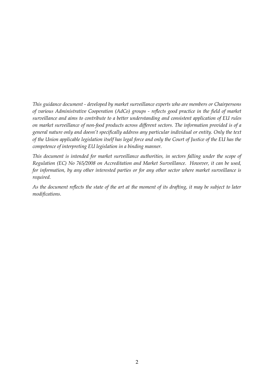*This guidance document - developed by market surveillance experts who are members or Chairpersons of various Administrative Cooperation (AdCo) groups - reflects good practice in the field of market surveillance and aims to contribute to a better understanding and consistent application of EU rules on market surveillance of non-food products across different sectors. The information provided is of a general nature only and doesn't specifically address any particular individual or entity. Only the text of the Union applicable legislation itself has legal force and only the Court of Justice of the EU has the competence of interpreting EU legislation in a binding manner.* 

*This document is intended for market surveillance authorities, in sectors falling under the scope of Regulation (EC) No 765/2008 on Accreditation and Market Surveillance. However, it can be used, for information, by any other interested parties or for any other sector where market surveillance is required.* 

*As the document reflects the state of the art at the moment of its drafting, it may be subject to later modifications.*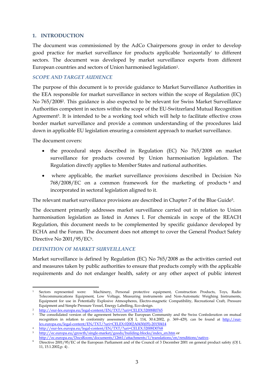## <span id="page-3-0"></span>**1. INTRODUCTION**

The document was commissioned by the AdCo Chairpersons group in order to develop good practice for market surveillance for products applicable 'horizontally' to different sectors. The document was developed by market surveillance experts from different European countries and sectors of Union harmonised legislation<sup>1</sup>.

## *SCOPE AND TARGET AUDIENCE*

The purpose of this document is to provide guidance to Market Surveillance Authorities in the EEA responsible for market surveillance in sectors within the scope of Regulation (EC) No 765/20082. This guidance is also expected to be relevant for Swiss Market Surveillance Authorities competent in sectors within the scope of the EU-Switzerland Mutual Recognition Agreement<sup>3</sup>. It is intended to be a working tool which will help to facilitate effective cross border market surveillance and provide a common understanding of the procedures laid down in applicable EU legislation ensuring a consistent approach to market surveillance.

The document covers:

- the procedural steps described in Regulation (EC) No 765/2008 on market surveillance for products covered by Union harmonisation legislation. The Regulation directly applies to Member States and national authorities.
- where applicable, the market surveillance provisions described in Decision No 768/2008/EC on a common framework for the marketing of products <sup>4</sup> and incorporated in sectoral legislation aligned to it.

The relevant market surveillance provisions are described in Chapter 7 of the Blue Guide5.

The document primarily addresses market surveillance carried out in relation to Union harmonisation legislation as listed in Annex I. For chemicals in scope of the REACH Regulation, this document needs to be complemented by specific guidance developed by ECHA and the Forum. The document does not attempt to cover the General Product Safety Directive No 2001/95/EC<sup>6</sup>.

## *DEFINITION OF MARKET SURVEILLANCE*

Market surveillance is defined by Regulation (EC) No 765/2008 as the activities carried out and measures taken by public authorities to ensure that products comply with the applicable requirements and do not endanger health, safety or any other aspect of public interest

**<sup>.</sup>** <sup>1</sup> Sectors represented were: Machinery, Personal protective equipment, Construction Products, Toys, Radio Telecommunications Equipment, Low Voltage, Measuring instruments and Non-Automatic Weighing Instruments, Equipment for use in Potentially Explosive Atmospheres, Electro-magnetic Compatibility, Recreational Craft, Pressure Equipment and Simple Pressure Vessel, Energy Labelling, Eco-design.

<sup>2</sup> <http://eur-lex.europa.eu/legal-content/EN/TXT/?uri=CELEX:32008R0765>

<sup>&</sup>lt;sup>3</sup> The consolidated version of the agreement between the European Community and the Swiss Confederation on mutual recognition in relation to conformity assessment (OJ L 114, 30.4.2002, p. 369-429). can be found at [http://eur](http://eur-lex.europa.eu/legal-content/EN/TXT/?uri=CELEX:02002A0430(05)-20150414)[lex.europa.eu/legal-content/EN/TXT/?uri=CELEX:02002A0430\(05\)-20150414](http://eur-lex.europa.eu/legal-content/EN/TXT/?uri=CELEX:02002A0430(05)-20150414)

<sup>4</sup> <http://eur-lex.europa.eu/legal-content/EN/TXT/?uri=CELEX:32008D0768>

<sup>5</sup> [http://ec.europa.eu/growth/single-market/goods/building-blocks/index\\_en.htm](http://ec.europa.eu/growth/single-market/goods/building-blocks/index_en.htm) or

http://ec.europa.eu/DocsRoom/documents/12661/attachments/1/translations/en/renditions/native.

<sup>6</sup> Directive 2001/95/EC of the European Parliament and of the Council of 3 December 2001 on general product safety (OJ L 11, 15.1.2002,p. 4) .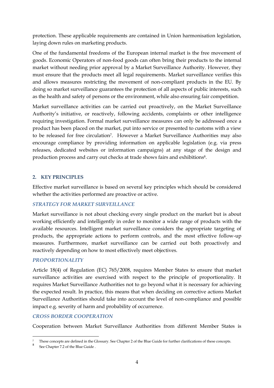protection. These applicable requirements are contained in Union harmonisation legislation, laying down rules on marketing products.

One of the fundamental freedoms of the European internal market is the free movement of goods. Economic Operators of non-food goods can often bring their products to the internal market without needing prior approval by a Market Surveillance Authority. However, they must ensure that the products meet all legal requirements. Market surveillance verifies this and allows measures restricting the movement of non-compliant products in the EU. By doing so market surveillance guarantees the protection of all aspects of public interests, such as the health and safety of persons or the environment, while also ensuring fair competition.

Market surveillance activities can be carried out proactively, on the Market Surveillance Authority's initiative, or reactively, following accidents, complaints or other intelligence requiring investigation. Formal market surveillance measures can only be addressed once a product has been placed on the market, put into service or presented to customs with a view to be released for free circulation7. However a Market Surveillance Authorities may also encourage compliance by providing information on applicable legislation (e.g. via press releases, dedicated websites or information campaigns) at any stage of the design and production process and carry out checks at trade shows fairs and exhibitions<sup>8</sup>.

## <span id="page-4-0"></span>**2. KEY PRINCIPLES**

Effective market surveillance is based on several key principles which should be considered whether the activities performed are proactive or active.

## *STRATEGY FOR MARKET SURVEILLANCE*

Market surveillance is not about checking every single product on the market but is about working efficiently and intelligently in order to monitor a wide range of products with the available resources. Intelligent market surveillance considers the appropriate targeting of products, the appropriate actions to perform controls, and the most effective follow-up measures. Furthermore, market surveillance can be carried out both proactively and reactively depending on how to most effectively meet objectives.

## *PROPORTIONALITY*

Article 18(4) of Regulation (EC) 765/2008, requires Member States to ensure that market surveillance activities are exercised with respect to the principle of proportionality. It requires Market Surveillance Authorities not to go beyond what it is necessary for achieving the expected result. In practice, this means that when deciding on corrective actions Market Surveillance Authorities should take into account the level of non-compliance and possible impact e.g. severity of harm and probability of occurrence.

## *CROSS BORDER COOPERATION*

Cooperation between Market Surveillance Authorities from different Member States is

 $\overline{a}$ <sup>7</sup> These concepts are defined in the Glossary. See Chapter 2 of the Blue Guide for further clarifications of these concepts.

<sup>8</sup> See Chapter 7.2 of the Blue Guide .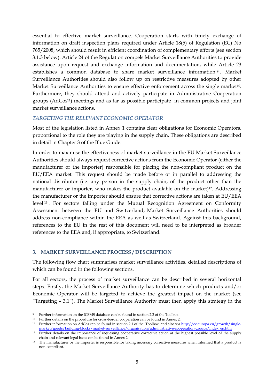essential to effective market surveillance. Cooperation starts with timely exchange of information on draft inspection plans required under Article 18(5) of Regulation (EC) No 765/2008, which should result in efficient coordination of complementary efforts (see section 3.1.3 below). Article 24 of the Regulation compels Market Surveillance Authorities to provide assistance upon request and exchange information and documentation, while Article 23 establishes a common database to share market surveillance information <sup>9</sup> . Market Surveillance Authorities should also follow up on restrictive measures adopted by other Market Surveillance Authorities to ensure effective enforcement across the single market10. Furthermore, they should attend and actively participate in Administrative Cooperation groups (AdCos11) meetings and as far as possible participate in common projects and joint market surveillance actions.

## *TARGETING THE RELEVANT ECONOMIC OPERATOR*

Most of the legislation listed in Annex 1 contains clear obligations for Economic Operators, proportional to the role they are playing in the supply chain. These obligations are described in detail in Chapter 3 of the Blue Guide.

In order to maximise the effectiveness of market surveillance in the EU Market Surveillance Authorities should always request corrective actions from the Economic Operator (either the manufacturer or the importer) responsible for placing the non-compliant product on the EU/EEA market. This request should be made before or in parallel to addressing the national distributor (i.e. any person in the supply chain, of the product other than the manufacturer or importer, who makes the product available on the market)<sup>12</sup>. Addressing the manufacturer or the importer should ensure that corrective actions are taken at EU/EEA level <sup>13</sup> . For sectors falling under the Mutual Recognition Agreement on Conformity Assessment between the EU and Switzerland, Market Surveillance Authorities should address non-compliance within the EEA as well as Switzerland. Against this background, references to the EU in the rest of this document will need to be interpreted as broader references to the EEA and, if appropriate, to Switzerland.

# <span id="page-5-0"></span>**3. MARKET SURVEILLANCE PROCESS / DESCRIPTION**

The following flow chart summarises market surveillance activities, detailed descriptions of which can be found in the following sections.

For all sectors, the process of market surveillance can be described in several horizontal steps. Firstly, the Market Surveillance Authority has to determine which products and/or Economic Operator will be targeted to achieve the greatest impact on the market (see "Targeting  $-3.1$ "). The Market Surveillance Authority must then apply this strategy in the

 $\overline{a}$ 

<sup>9</sup> Further information on the ICSMS database can be found in section 2.2 of the Toolbox.

<sup>10</sup> Further details on the procedure for cross-border cooperation can be found in Annex 2.

<sup>&</sup>lt;sup>11</sup> Further information on AdCos can be found in section 2.1 of the Toolbox and also via [http://ec.europa.eu/growth/single](http://ec.europa.eu/growth/single-market/goods/building-blocks/market-surveillance/organisation/administrative-cooperation-groups/index_en.htm)[market/goods/building-blocks/market-surveillance/organisation/administrative-cooperation-groups/index\\_en.htm](http://ec.europa.eu/growth/single-market/goods/building-blocks/market-surveillance/organisation/administrative-cooperation-groups/index_en.htm)

<sup>&</sup>lt;sup>12</sup> Further details on the importance of requesting cooperative corrective action at the highest possible level of the supply chain and relevant legal basis can be found in Annex 2.

<sup>&</sup>lt;sup>13</sup> The manufacturer or the importer is responsible for taking necessary corrective measures when informed that a product is non-compliant.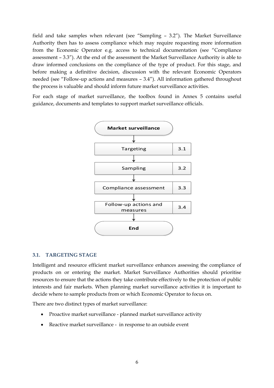field and take samples when relevant (see "Sampling – 3.2"). The Market Surveillance Authority then has to assess compliance which may require requesting more information from the Economic Operator e.g. access to technical documentation (see "Compliance assessment – 3.3"). At the end of the assessment the Market Surveillance Authority is able to draw informed conclusions on the compliance of the type of product. For this stage, and before making a definitive decision, discussion with the relevant Economic Operators needed (see "Follow-up actions and measures – 3.4"). All information gathered throughout the process is valuable and should inform future market surveillance activities.

For each stage of market surveillance, the toolbox found in Annex 5 contains useful guidance, documents and templates to support market surveillance officials.



#### <span id="page-6-0"></span>**3.1. TARGETING STAGE**

Intelligent and resource efficient market surveillance enhances assessing the compliance of products on or entering the market. Market Surveillance Authorities should prioritise resources to ensure that the actions they take contribute effectively to the protection of public interests and fair markets. When planning market surveillance activities it is important to decide where to sample products from or which Economic Operator to focus on.

There are two distinct types of market surveillance:

- Proactive market surveillance planned market surveillance activity
- Reactive market surveillance in response to an outside event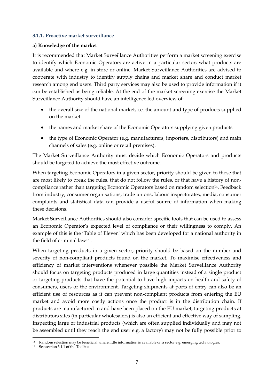## <span id="page-7-0"></span>**3.1.1. Proactive market surveillance**

## **a) Knowledge of the market**

It is recommended that Market Surveillance Authorities perform a market screening exercise to identify which Economic Operators are active in a particular sector; what products are available and where e.g. in store or online. Market Surveillance Authorities are advised to cooperate with industry to identify supply chains and market share and conduct market research among end users. Third party services may also be used to provide information if it can be established as being reliable. At the end of the market screening exercise the Market Surveillance Authority should have an intelligence led overview of:

- the overall size of the national market, i.e. the amount and type of products supplied on the market
- the names and market share of the Economic Operators supplying given products
- the type of Economic Operator (e.g. manufacturers, importers, distributors) and main channels of sales (e.g. online or retail premises).

The Market Surveillance Authority must decide which Economic Operators and products should be targeted to achieve the most effective outcome.

When targeting Economic Operators in a given sector, priority should be given to those that are most likely to break the rules, that do not follow the rules, or that have a history of noncompliance rather than targeting Economic Operators based on random selection<sup>14</sup>. Feedback from industry, consumer organisations, trade unions, labour inspectorates, media, consumer complaints and statistical data can provide a useful source of information when making these decisions.

Market Surveillance Authorities should also consider specific tools that can be used to assess an Economic Operator's expected level of compliance or their willingness to comply. An example of this is the 'Table of Eleven' which has been developed for a national authority in the field of criminal law<sup>15</sup> .

When targeting products in a given sector, priority should be based on the number and severity of non-compliant products found on the market. To maximise effectiveness and efficiency of market interventions whenever possible the Market Surveillance Authority should focus on targeting products produced in large quantities instead of a single product or targeting products that have the potential to have high impacts on health and safety of consumers, users or the environment. Targeting shipments at ports of entry can also be an efficient use of resources as it can prevent non-compliant products from entering the EU market and avoid more costly actions once the product is in the distribution chain. If products are manufactured in and have been placed on the EU market, targeting products at distributors sites (in particular wholesalers) is also an efficient and effective way of sampling. Inspecting large or industrial products (which are often supplied individually and may not be assembled until they reach the end user e.g. a factory) may not be fully possible prior to

**<sup>.</sup>**  $14$  Random selection may be beneficial where little information is available on a sector e.g. emerging technologies.

<sup>15</sup> See section 3.1.1 of the Toolbox.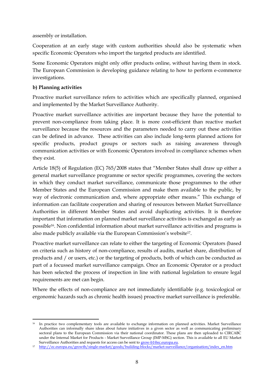assembly or installation.

Cooperation at an early stage with custom authorities should also be systematic when specific Economic Operators who import the targeted products are identified.

Some Economic Operators might only offer products online, without having them in stock. The European Commission is developing guidance relating to how to perform e-commerce investigations.

# **b) Planning activities**

Proactive market surveillance refers to activities which are specifically planned, organised and implemented by the Market Surveillance Authority.

Proactive market surveillance activities are important because they have the potential to prevent non-compliance from taking place. It is more cost-efficient than reactive market surveillance because the resources and the parameters needed to carry out these activities can be defined in advance. These activities can also include long-term planned actions for specific products, product groups or sectors such as raising awareness through communication activities or with Economic Operators involved in compliance schemes when they exist.

Article 18(5) of Regulation (EC) 765/2008 states that "Member States shall draw up either a general market surveillance programme or sector specific programmes, covering the sectors in which they conduct market surveillance, communicate those programmes to the other Member States and the European Commission and make them available to the public, by way of electronic communication and, where appropriate other means." This exchange of information can facilitate cooperation and sharing of resources between Market Surveillance Authorities in different Member States and avoid duplicating activities. It is therefore important that information on planned market surveillance activities is exchanged as early as possible16. Non confidential information about market surveillance activities and programs is also made publicly available via the European Commission's website17.

Proactive market surveillance can relate to either the targeting of Economic Operators (based on criteria such as history of non-compliance, results of audits, market share, distribution of products and / or users, etc.) or the targeting of products, both of which can be conducted as part of a focussed market surveillance campaign. Once an Economic Operator or a product has been selected the process of inspection in line with national legislation to ensure legal requirements are met can begin.

Where the effects of non-compliance are not immediately identifiable (e.g. toxicological or ergonomic hazards such as chronic health issues) proactive market surveillance is preferable.

**<sup>.</sup>** <sup>16</sup> In practice two complementary tools are available to exchange information on planned activities. Market Surveillance Authorities can informally share ideas about future initiatives in a given sector as well as communicating preliminary sectoral plans to the European Commission via their national coordinator. These plans are then uploaded to CIRCABC under the Internal Market for Products - Market Surveillance Group (IMP-MSG) section. This is available to all EU Market Surveillance Authorities and requests for access can be sent to grow-b1@ec.europa.eu.

<sup>17</sup> [http://ec.europa.eu/growth/single-market/goods/building-blocks/market-surveillance/organisation/index\\_en.htm](http://ec.europa.eu/growth/single-market/goods/building-blocks/market-surveillance/organisation/index_en.htm)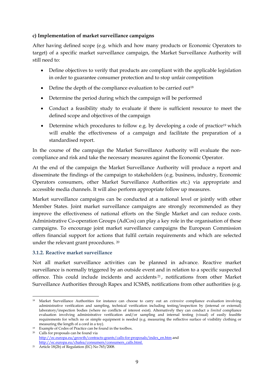## **c) Implementation of market surveillance campaigns**

After having defined scope (e.g. which and how many products or Economic Operators to target) of a specific market surveillance campaign, the Market Surveillance Authority will still need to:

- Define objectives to verify that products are compliant with the applicable legislation in order to guarantee consumer protection and to stop unfair competition
- Define the depth of the compliance evaluation to be carried out<sup>18</sup>
- Determine the period during which the campaign will be performed
- Conduct a feasibility study to evaluate if there is sufficient resource to meet the defined scope and objectives of the campaign
- Determine which procedures to follow e.g. by developing a code of practice<sup>19</sup> which will enable the effectiveness of a campaign and facilitate the preparation of a standardised report.

In the course of the campaign the Market Surveillance Authority will evaluate the noncompliance and risk and take the necessary measures against the Economic Operator.

At the end of the campaign the Market Surveillance Authority will produce a report and disseminate the findings of the campaign to stakeholders (e.g. business, industry, Economic Operators consumers, other Market Surveillance Authorities etc.) via appropriate and accessible media channels. It will also perform appropriate follow up measures.

Market surveillance campaigns can be conducted at a national level or jointly with other Member States. Joint market surveillance campaigns are strongly recommended as they improve the effectiveness of national efforts on the Single Market and can reduce costs. Administrative Co-operation Groups (AdCos) can play a key role in the organisation of these campaigns. To encourage joint market surveillance campaigns the European Commission offers financial support for actions that fulfil certain requirements and which are selected under the relevant grant procedures. <sup>20</sup>

# <span id="page-9-0"></span>**3.1.2. Reactive market surveillance**

Not all market surveillance activities can be planned in advance. Reactive market surveillance is normally triggered by an outside event and in relation to a specific suspected offence. This could include incidents and accidents <sup>21</sup> , notifications from other Market Surveillance Authorities through Rapex and ICSMS, notifications from other authorities (e.g.

**<sup>.</sup>** <sup>18</sup> Market Surveillance Authorities for instance can choose to carry out an *extensive* compliance evaluation involving administrative verification and sampling, technical verification including testing/inspection by (internal or external) laboratory/inspection bodies (where no conflicts of interest exist). Alternatively they can conduct a *limited* compliance evaluation involving administrative verification and/or sampling and internal testing (visual) of easily feasible requirements for which no or simple equipment is needed (e.g. measuring the reflective surface of visibility clothing or measuring the length of a cord in a toy).

<sup>19</sup> Example of Codes of Practice can be found in the toolbox.

<sup>20</sup> Calls for proposals can be found via [http://ec.europa.eu/growth/contracts-grants/calls-for-proposals/index\\_en.htm](http://ec.europa.eu/growth/contracts-grants/calls-for-proposals/index_en.htm) and http://ec.europa.eu/chafea/consumers/consumers\_calls.html.

<sup>&</sup>lt;sup>21</sup> Article 18(2b) of Regulation (EC) No  $765/2008$ .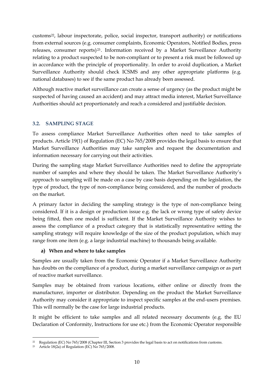customs22, labour inspectorate, police, social inspector, transport authority) or notifications from external sources (e.g. consumer complaints, Economic Operators, Notified Bodies, press releases, consumer reports) <sup>23</sup> . Information received by a Market Surveillance Authority relating to a product suspected to be non-compliant or to present a risk must be followed up in accordance with the principle of proportionality. In order to avoid duplication, a Market Surveillance Authority should check ICSMS and any other appropriate platforms (e.g. national databases) to see if the same product has already been assessed.

Although reactive market surveillance can create a sense of urgency (as the product might be suspected of having caused an accident) and may attract media interest, Market Surveillance Authorities should act proportionately and reach a considered and justifiable decision.

# <span id="page-10-0"></span>**3.2. SAMPLING STAGE**

To assess compliance Market Surveillance Authorities often need to take samples of products. Article 19(1) of Regulation (EC) No 765/2008 provides the legal basis to ensure that Market Surveillance Authorities may take samples and request the documentation and information necessary for carrying out their activities.

During the sampling stage Market Surveillance Authorities need to define the appropriate number of samples and where they should be taken. The Market Surveillance Authority's approach to sampling will be made on a case by case basis depending on the legislation, the type of product, the type of non-compliance being considered, and the number of products on the market.

A primary factor in deciding the sampling strategy is the type of non-compliance being considered. If it is a design or production issue e.g. the lack or wrong type of safety device being fitted, then one model is sufficient. If the Market Surveillance Authority wishes to assess the compliance of a product category that is statistically representative setting the sampling strategy will require knowledge of the size of the product population, which may range from one item (e.g. a large industrial machine) to thousands being available.

# **a) When and where to take samples**

Samples are usually taken from the Economic Operator if a Market Surveillance Authority has doubts on the compliance of a product, during a market surveillance campaign or as part of reactive market surveillance.

Samples may be obtained from various locations, either online or directly from the manufacturer, importer or distributor. Depending on the product the Market Surveillance Authority may consider it appropriate to inspect specific samples at the end-users premises. This will normally be the case for large industrial products.

It might be efficient to take samples and all related necessary documents (e.g. the EU Declaration of Conformity, Instructions for use etc.) from the Economic Operator responsible

**<sup>.</sup>** <sup>22</sup> Regulation (EC) No 765/2008 (Chapter III, Section 3 provides the legal basis to act on notifications from customs.

<sup>&</sup>lt;sup>23</sup> Article 18(2a) of Regulation (EC) No  $765/2008$ .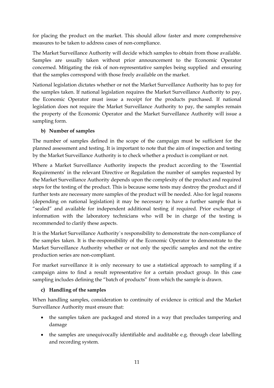for placing the product on the market. This should allow faster and more comprehensive measures to be taken to address cases of non-compliance.

The Market Surveillance Authority will decide which samples to obtain from those available. Samples are usually taken without prior announcement to the Economic Operator concerned. Mitigating the risk of non-representative samples being supplied and ensuring that the samples correspond with those freely available on the market.

National legislation dictates whether or not the Market Surveillance Authority has to pay for the samples taken. If national legislation requires the Market Surveillance Authority to pay, the Economic Operator must issue a receipt for the products purchased. If national legislation does not require the Market Surveillance Authority to pay, the samples remain the property of the Economic Operator and the Market Surveillance Authority will issue a sampling form.

# **b) Number of samples**

The number of samples defined in the scope of the campaign must be sufficient for the planned assessment and testing. It is important to note that the aim of inspection and testing by the Market Surveillance Authority is to check whether a product is compliant or not.

Where a Market Surveillance Authority inspects the product according to the 'Essential Requirements' in the relevant Directive or Regulation the number of samples requested by the Market Surveillance Authority depends upon the complexity of the product and required steps for the testing of the product. This is because some tests may destroy the product and if further tests are necessary more samples of the product will be needed. Also for legal reasons (depending on national legislation) it may be necessary to have a further sample that is "sealed" and available for independent additional testing if required. Prior exchange of information with the laboratory technicians who will be in charge of the testing is recommended to clarify these aspects.

It is the Market Surveillance Authority`s responsibility to demonstrate the non-compliance of the samples taken. It is the responsibility of the Economic Operator to demonstrate to the Market Surveillance Authority whether or not only the specific samples and not the entire production series are non-compliant.

For market surveillance it is only necessary to use a statistical approach to sampling if a campaign aims to find a result representative for a certain product group. In this case sampling includes defining the "batch of products" from which the sample is drawn.

# **c) Handling of the samples**

When handling samples, consideration to continuity of evidence is critical and the Market Surveillance Authority must ensure that:

- the samples taken are packaged and stored in a way that precludes tampering and damage
- the samples are unequivocally identifiable and auditable e.g. through clear labelling and recording system.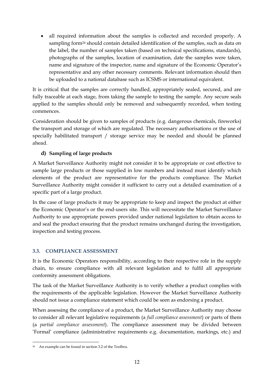all required information about the samples is collected and recorded properly. A sampling form<sup>24</sup> should contain detailed identification of the samples, such as data on the label, the number of samples taken (based on technical specifications, standards), photographs of the samples, location of examination, date the samples were taken, name and signature of the inspector, name and signature of the Economic Operator's representative and any other necessary comments. Relevant information should then be uploaded to a national database such as ICSMS or international equivalent.

It is critical that the samples are correctly handled, appropriately sealed, secured, and are fully traceable at each stage, from taking the sample to testing the sample. Any secure seals applied to the samples should only be removed and subsequently recorded, when testing commences.

Consideration should be given to samples of products (e.g. dangerous chemicals, fireworks) the transport and storage of which are regulated. The necessary authorisations or the use of specially habilitated transport / storage service may be needed and should be planned ahead.

# **d) Sampling of large products**

A Market Surveillance Authority might not consider it to be appropriate or cost effective to sample large products or those supplied in low numbers and instead must identify which elements of the product are representative for the products compliance. The Market Surveillance Authority might consider it sufficient to carry out a detailed examination of a specific part of a large product.

In the case of large products it may be appropriate to keep and inspect the product at either the Economic Operator's or the end-users site. This will necessitate the Market Surveillance Authority to use appropriate powers provided under national legislation to obtain access to and seal the product ensuring that the product remains unchanged during the investigation, inspection and testing process.

# <span id="page-12-0"></span>**3.3. COMPLIANCE ASSESSMENT**

It is the Economic Operators responsibility, according to their respective role in the supply chain, to ensure compliance with all relevant legislation and to fulfil all appropriate conformity assessment obligations.

The task of the Market Surveillance Authority is to verify whether a product complies with the requirements of the applicable legislation. However the Market Surveillance Authority should not issue a compliance statement which could be seen as endorsing a product.

When assessing the compliance of a product, the Market Surveillance Authority may choose to consider all relevant legislative requirements (a *full compliance assessment*) or parts of them (a *partial compliance assessment*). The compliance assessment may be divided between 'Formal' compliance (administrative requirements e.g. documentation, markings, etc.) and

<sup>1</sup> <sup>24</sup> An example can be found in section 3.2 of the Toolbox.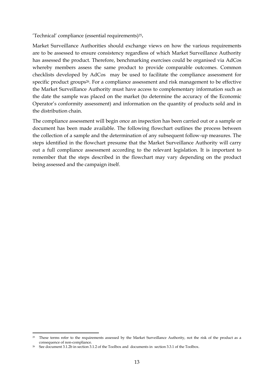'Technical' compliance (essential requirements)25**.**

Market Surveillance Authorities should exchange views on how the various requirements are to be assessed to ensure consistency regardless of which Market Surveillance Authority has assessed the product. Therefore, benchmarking exercises could be organised via AdCos whereby members assess the same product to provide comparable outcomes. Common checklists developed by AdCos may be used to facilitate the compliance assessment for specific product groups<sup>26</sup>. For a compliance assessment and risk management to be effective the Market Surveillance Authority must have access to complementary information such as the date the sample was placed on the market (to determine the accuracy of the Economic Operator's conformity assessment) and information on the quantity of products sold and in the distribution chain.

The compliance assessment will begin once an inspection has been carried out or a sample or document has been made available. The following flowchart outlines the process between the collection of a sample and the determination of any subsequent follow-up measures. The steps identified in the flowchart presume that the Market Surveillance Authority will carry out a full compliance assessment according to the relevant legislation. It is important to remember that the steps described in the flowchart may vary depending on the product being assessed and the campaign itself.

**.** 

<sup>&</sup>lt;sup>25</sup> These terms refer to the requirements assessed by the Market Surveillance Authority, not the risk of the product as a consequence of non-compliance.

<sup>26</sup> See document 3.1.2b in section 3.1.2 of the Toolbox and documents in section 3.3.1 of the Toolbox.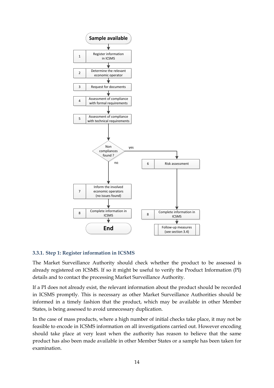

# <span id="page-14-0"></span>**3.3.1. Step 1: Register information in ICSMS**

The Market Surveillance Authority should check whether the product to be assessed is already registered on ICSMS. If so it might be useful to verify the Product Information (PI) details and to contact the processing Market Surveillance Authority.

If a PI does not already exist, the relevant information about the product should be recorded in ICSMS promptly. This is necessary as other Market Surveillance Authorities should be informed in a timely fashion that the product, which may be available in other Member States, is being assessed to avoid unnecessary duplication.

In the case of mass products, where a high number of initial checks take place, it may not be feasible to encode in ICSMS information on all investigations carried out. However encoding should take place at very least when the authority has reason to believe that the same product has also been made available in other Member States or a sample has been taken for examination.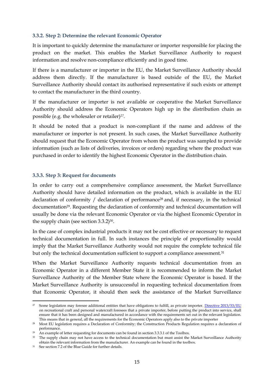#### <span id="page-15-0"></span>**3.3.2. Step 2: Determine the relevant Economic Operator**

It is important to quickly determine the manufacturer or importer responsible for placing the product on the market. This enables the Market Surveillance Authority to request information and resolve non-compliance efficiently and in good time.

If there is a manufacturer or importer in the EU, the Market Surveillance Authority should address them directly. If the manufacturer is based outside of the EU, the Market Surveillance Authority should contact its authorised representative if such exists or attempt to contact the manufacturer in the third country.

If the manufacturer or importer is not available or cooperative the Market Surveillance Authority should address the Economic Operators high up in the distribution chain as possible (e.g. the wholesaler or retailer) *27.*

It should be noted that a product is non-compliant if the name and address of the manufacturer or importer is not present. In such cases, the Market Surveillance Authority should request that the Economic Operator from whom the product was sampled to provide information (such as lists of deliveries, invoices or orders) regarding where the product was purchased in order to identify the highest Economic Operator in the distribution chain.

## <span id="page-15-1"></span>**3.3.3. Step 3: Request for documents**

In order to carry out a comprehensive compliance assessment, the Market Surveillance Authority should have detailed information on the product, which is available in the EU declaration of conformity / declaration of performance<sup>28</sup> and, if necessary, in the technical documentation<sup>29</sup>. Requesting the declaration of conformity and technical documentation will usually be done via the relevant Economic Operator or via the highest Economic Operator in the supply chain (see section 3.3.2)<sup>30</sup>.

In the case of complex industrial products it may not be cost effective or necessary to request technical documentation in full. In such instances the principle of proportionality would imply that the Market Surveillance Authority would not require the complete technical file but only the technical documentation sufficient to support a compliance assessment.<sup>31</sup>

When the Market Surveillance Authority requests technical documentation from an Economic Operator in a different Member State it is recommended to inform the Market Surveillance Authority of the Member State where the Economic Operator is based. If the Market Surveillance Authority is unsuccessful in requesting technical documentation from that Economic Operator, it should then seek the assistance of the Market Surveillance

<sup>1</sup> <sup>27</sup> Some legislation may foresee additional entities that have obligations to fulfill, as private importer. [Directive 2013/53/EU](http://eur-lex.europa.eu/legal-content/EN/TXT/PDF/?uri=CELEX:32013L0053&from=EN) on recreational craft and personal watercraft foresees that a private importer, before putting the product into service, shall ensure that it has been designed and manufactured in accordance with the requirements set out in the relevant legislation. This means that in general, all the requirements for the Economic Operators apply also to the private importer

<sup>28</sup> Most EU legislation requires a Declaration of Conformity; the Construction Products Regulation requires a declaration of performance.

<sup>&</sup>lt;sup>29</sup> An example of letter requesting for documents can be found in section 3.3.3.1 of the Toolbox.

<sup>&</sup>lt;sup>30</sup> The supply chain may not have access to the technical documentation but must assist the Market Surveillance Authority obtain the relevant information from the manufacturer. An example can be found in the toolbox.

<sup>31</sup> See section 7.2 of the Blue Guide for further details.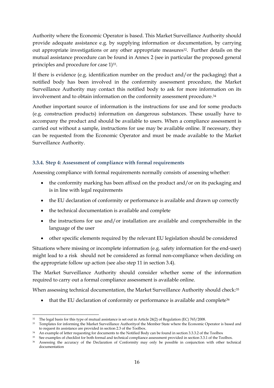Authority where the Economic Operator is based. This Market Surveillance Authority should provide adequate assistance e.g. by supplying information or documentation, by carrying out appropriate investigations or any other appropriate measures<sup>32</sup>. Further details on the mutual assistance procedure can be found in Annex 2 (see in particular the proposed general principles and procedure for case 1)<sup>33</sup>.

If there is evidence (e.g. identification number on the product and/or the packaging) that a notified body has been involved in the conformity assessment procedure, the Market Surveillance Authority may contact this notified body to ask for more information on its involvement and to obtain information on the conformity assessment procedure.<sup>34</sup>

Another important source of information is the instructions for use and for some products (e.g. construction products) information on dangerous substances. These usually have to accompany the product and should be available to users. When a compliance assessment is carried out without a sample, instructions for use may be available online. If necessary, they can be requested from the Economic Operator and must be made available to the Market Surveillance Authority.

# <span id="page-16-0"></span>**3.3.4. Step 4: Assessment of compliance with formal requirements**

Assessing compliance with formal requirements normally consists of assessing whether:

- the conformity marking has been affixed on the product and/or on its packaging and is in line with legal requirements
- the EU declaration of conformity or performance is available and drawn up correctly
- the technical documentation is available and complete
- the instructions for use and/or installation are available and comprehensible in the language of the user
- other specific elements required by the relevant EU legislation should be considered

Situations where missing or incomplete information (e.g. safety information for the end-user) might lead to a risk should not be considered as formal non-compliance when deciding on the appropriate follow up action (see also step 11 in section 3.4).

The Market Surveillance Authority should consider whether some of the information required to carry out a formal compliance assessment is available online.

When assessing technical documentation, the Market Surveillance Authority should check:<sup>35</sup>

<span id="page-16-1"></span>• that the EU declaration of conformity or performance is available and complete<sup>36</sup>

**<sup>.</sup>** <sup>32</sup> The legal basis for this type of mutual assistance is set out in Article 24(2) of Regulation (EC) 765/2008.

<sup>&</sup>lt;sup>33</sup> Templates for informing the Market Surveillance Authorityof the Member State where the Economic Operator is based and to request its assistance are provided in section 2.3 of the Toolbox.

<sup>&</sup>lt;sup>34</sup> An example of letter requesting for documents to the Notified Body can be found in section 3.3.3.2 of the Toolbox

<sup>&</sup>lt;sup>35</sup> See examples of checklist for both formal and technical compliance assessment provided in section 3.3.1 of the Toolbox. <sup>36</sup> Assessing the accuracy of the Declaration of Conformity may only be possible in conjunction with other technical documentation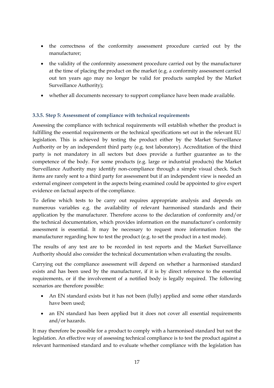- the correctness of the conformity assessment procedure carried out by the manufacturer;
- the validity of the conformity assessment procedure carried out by the manufacturer at the time of placing the product on the market (e.g. a conformity assessment carried out ten years ago may no longer be valid for products sampled by the Market Surveillance Authority);
- whether all documents necessary to support compliance have been made available.

# <span id="page-17-0"></span>**3.3.5. Step 5: Assessment of compliance with technical requirements**

Assessing the compliance with technical requirements will establish whether the product is fulfilling the essential requirements or the technical specifications set out in the relevant EU legislation. This is achieved by testing the product either by the Market Surveillance Authority or by an independent third party (e.g. test laboratory). Accreditation of the third party is not mandatory in all sectors but does provide a further guarantee as to the competence of the body. For some products (e.g. large or industrial products) the Market Surveillance Authority may identify non-compliance through a simple visual check. Such items are rarely sent to a third party for assessment but if an independent view is needed an external engineer competent in the aspects being examined could be appointed to give expert evidence on factual aspects of the compliance.

To define which tests to be carry out requires appropriate analysis and depends on numerous variables e.g. the availability of relevant harmonised standards and their application by the manufacturer. Therefore access to the declaration of conformity and/or the technical documentation, which provides information on the manufacturer's conformity assessment is essential. It may be necessary to request more information from the manufacturer regarding how to test the product (e.g. to set the product in a test mode).

The results of any test are to be recorded in test reports and the Market Surveillance Authority should also consider the technical documentation when evaluating the results.

Carrying out the compliance assessment will depend on whether a harmonised standard exists and has been used by the manufacturer, if it is by direct reference to the essential requirements, or if the involvement of a notified body is legally required. The following scenarios are therefore possible:

- An EN standard exists but it has not been (fully) applied and some other standards have been used;
- an EN standard has been applied but it does not cover all essential requirements and/or hazards.

It may therefore be possible for a product to comply with a harmonised standard but not the legislation. An effective way of assessing technical compliance is to test the product against a relevant harmonised standard and to evaluate whether compliance with the legislation has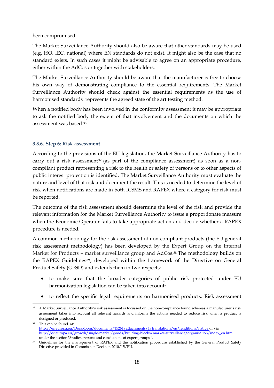been compromised.

The Market Surveillance Authority should also be aware that other standards may be used (e.g. ISO, IEC, national) where EN standards do not exist. It might also be the case that no standard exists. In such cases it might be advisable to agree on an appropriate procedure, either within the AdCos or together with stakeholders.

The Market Surveillance Authority should be aware that the manufacturer is free to choose his own way of demonstrating compliance to the essential requirements. The Market Surveillance Authority should check against the essential requirements as the use of harmonised standards represents the agreed state of the art testing method.

When a notified body has been involved in the conformity assessment it may be appropriate to ask the notified body the extent of that involvement and the documents on which the assessment was based.[35](#page-16-1)

# <span id="page-18-0"></span>**3.3.6. Step 6: Risk assessment**

According to the provisions of the EU legislation, the Market Surveillance Authority has to carry out a risk assessment<sup>37</sup> (as part of the compliance assessment) as soon as a noncompliant product representing a risk to the health or safety of persons or to other aspects of public interest protection is identified. The Market Surveillance Authority must evaluate the nature and level of that risk and document the result. This is needed to determine the level of risk when notifications are made in both ICSMS and RAPEX where a category for risk must be reported.

The outcome of the risk assessment should determine the level of the risk and provide the relevant information for the Market Surveillance Authority to issue a proportionate measure when the Economic Operator fails to take appropriate action and decide whether a RAPEX procedure is needed.

A common methodology for the risk assessment of non-compliant products (the EU general risk assessment methodology) has been developed by the Expert Group on the Internal Market for Products – market surveillance group and AdCos. <sup>38</sup> The methodology builds on the RAPEX Guidelines<sup>39</sup>, developed within the framework of the Directive on General Product Safety (GPSD) and extends them in two respects:

- <span id="page-18-1"></span> to make sure that the broader categories of public risk protected under EU harmonization legislation can be taken into account;
- to reflect the specific legal requirements on harmonised products. Risk assessment

**<sup>.</sup>** <sup>37</sup> A Market Surveillance Authority's risk assessment is focussed on the non-compliance found whereas a manufacturer's risk assessment takes into account all relevant hazards and informs the actions needed to reduce risk when a product is designed or produced.

<sup>38</sup> This can be found at: <http://ec.europa.eu/DocsRoom/documents/15261/attachments/1/translations/en/renditions/native> or via http://ec.europa.eu/growth/single-market/goods/building-blocks/market-surveillance/organisation/index\_en.htm under the section "Studies, reports and conclusions of expert groups ".

<sup>&</sup>lt;sup>39</sup> Guidelines for the management of RAPEX and the notification procedure established by the General Product Safety Directive provided in Commission Decision 2010/15/EU.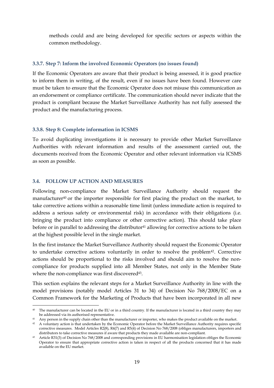methods could and are being developed for specific sectors or aspects within the common methodology.

#### <span id="page-19-0"></span>**3.3.7. Step 7: Inform the involved Economic Operators (no issues found)**

If the Economic Operators are aware that their product is being assessed, it is good practice to inform them in writing, of the result, even if no issues have been found. However care must be taken to ensure that the Economic Operator does not misuse this communication as an endorsement or compliance certificate. The communication should never indicate that the product is compliant because the Market Surveillance Authority has not fully assessed the product and the manufacturing process.

#### <span id="page-19-1"></span>**3.3.8. Step 8: Complete information in ICSMS**

To avoid duplicating investigations it is necessary to provide other Market Surveillance Authorities with relevant information and results of the assessment carried out, the documents received from the Economic Operator and other relevant information via ICSMS as soon as possible.

#### <span id="page-19-2"></span>**3.4. FOLLOW UP ACTION AND MEASURES**

**.** 

Following non-compliance the Market Surveillance Authority should request the manufacturer<sup>40</sup> or the importer responsible for first placing the product on the market, to take corrective actions within a reasonable time limit (unless immediate action is required to address a serious safety or environmental risk) in accordance with their obligations (i.e. bringing the product into compliance or other corrective action). This should take place before or in parallel to addressing the distributor<sup>41</sup> allowing for corrective actions to be taken at the highest possible level in the single market.

In the first instance the Market Surveillance Authority should request the Economic Operator to undertake corrective actions voluntarily in order to resolve the problem<sup>42</sup>. Corrective actions should be proportional to the risks involved and should aim to resolve the noncompliance for products supplied into all Member States, not only in the Member State where the non-compliance was first discovered<sup>43</sup>.

This section explains the relevant steps for a Market Surveillance Authority in line with the model provisions (notably model Articles 31 to 34) of [Decision No 768/2008/EC](http://eur-lex.europa.eu/legal-content/EN/TXT/?uri=CELEX:32008D0768&locale=en) on a Common Framework for the Marketing of Products that have been incorporated in all new

<sup>&</sup>lt;sup>40</sup> The manufacturer can be located in the EU or in a third country. If the manufacturer is located in a third country they may be addressed via its authorised representative.

<sup>41</sup> Any person in the supply chain other than the manufacturer or importer, who makes the product available on the market.

<sup>&</sup>lt;sup>42</sup> A voluntary action is that undertaken by the Economic Operator before the Market Surveillance Authority requires specific corrective measures. Model Articles R2(8), R4(7) and R5(4) of Decision No 768/2008 (obliges manufacturers, importers and distributors to take corrective measures if aware that products they made available are non-compliant.

<sup>43</sup> Article R31(3) of Decision No 768/2008 and corresponding provisions in EU harmonisation legislation obliges the Economic Operator to ensure that appropriate corrective action is taken in respect of all the products concerned that it has made available on the EU market.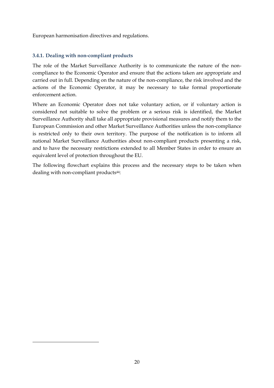European harmonisation directives and regulations.

# <span id="page-20-0"></span>**3.4.1. Dealing with non-compliant products**

1

The role of the Market Surveillance Authority is to communicate the nature of the noncompliance to the Economic Operator and ensure that the actions taken are appropriate and carried out in full. Depending on the nature of the non-compliance, the risk involved and the actions of the Economic Operator, it may be necessary to take formal proportionate enforcement action.

Where an Economic Operator does not take voluntary action, or if voluntary action is considered not suitable to solve the problem or a serious risk is identified, the Market Surveillance Authority shall take all appropriate provisional measures and notify them to the European Commission and other Market Surveillance Authorities unless the non-compliance is restricted only to their own territory. The purpose of the notification is to inform all national Market Surveillance Authorities about non-compliant products presenting a risk, and to have the necessary restrictions extended to all Member States in order to ensure an equivalent level of protection throughout the EU.

The following flowchart explains this process and the necessary steps to be taken when dealing with non-compliant products<sup>44</sup>: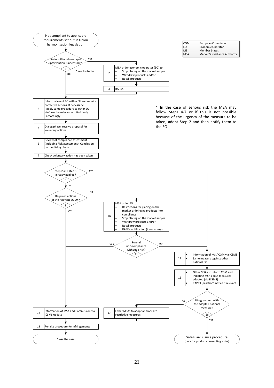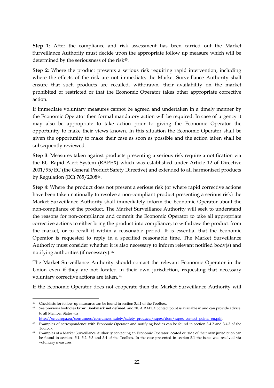**Step 1**: After the compliance and risk assessment has been carried out the Market Surveillance Authority must decide upon the appropriate follow up measure which will be determined by the seriousness of the risk45.

**Step 2**: Where the product presents a serious risk requiring rapid intervention, including where the effects of the risk are not immediate, the Market Surveillance Authority shall ensure that such products are recalled, withdrawn, their availability on the market prohibited or restricted or that the Economic Operator takes other appropriate corrective action.

If immediate voluntary measures cannot be agreed and undertaken in a timely manner by the Economic Operator then formal mandatory action will be required. In case of urgency it may also be appropriate to take action prior to giving the Economic Operator the opportunity to make their views known. In this situation the Economic Operator shall be given the opportunity to make their case as soon as possible and the action taken shall be subsequently reviewed.

**Step 3**: Measures taken against products presenting a serious risk require a notification via the EU Rapid Alert System (RAPEX) which was established under Article 12 of Directive 2001/95/EC (the General Product Safety Directive) and extended to all harmonised products by Regulation (EC) 765/200846.

**Step 4**: Where the product does not present a serious risk (or where rapid corrective actions have been taken nationally to resolve a non-compliant product presenting a serious risk) the Market Surveillance Authority shall immediately inform the Economic Operator about the non-compliance of the product. The Market Surveillance Authority will seek to understand the reasons for non-compliance and commit the Economic Operator to take all appropriate corrective actions to either bring the product into compliance, to withdraw the product from the market, or to recall it within a reasonable period. It is essential that the Economic Operator is requested to reply in a specified reasonable time. The Market Surveillance Authority must consider whether it is also necessary to inform relevant notified body(s) and notifying authorities (if necessary). 47

The Market Surveillance Authority should contact the relevant Economic Operator in the Union even if they are not located in their own jurisdiction, requesting that necessary voluntary corrective actions are taken. <sup>48</sup>

If the Economic Operator does not cooperate then the Market Surveillance Authority will

 $\overline{a}$ <sup>45</sup> Checklists for follow-up measures can be found in section 3.4.1 of the Toolbox.

<sup>46</sup> See previous footnotes **Error! Bookmark not defined.** an[d 38.](#page-18-1) A RAPEX contact point is available in and can provide advice to all Member States via

[http://ec.europa.eu/consumers/consumers\\_safety/safety\\_products/rapex/docs/rapex\\_contact\\_points\\_en.pdf.](http://ec.europa.eu/consumers/consumers_safety/safety_products/rapex/docs/rapex_contact_points_en.pdf)

<sup>47</sup> Examples of correspondence with Economic Operator and notifying bodies can be found in section 3.4.2 and 3.4.3 of the Toolbox.

<sup>48</sup> Examples of a Market Surveillance Authority contacting an Economic Operator located outside of their own jurisdiction can be found in sections 5.1, 5.2, 5.3 and 5.4 of the Toolbox. In the case presented in section 5.1 the issue was resolved via voluntary measures.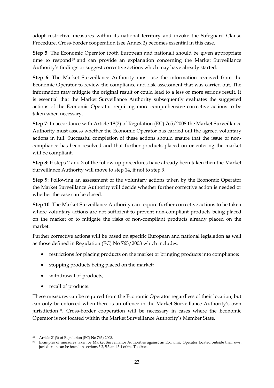adopt restrictive measures within its national territory and invoke the Safeguard Clause Procedure. Cross-border cooperation (see Annex 2) becomes essential in this case.

**Step 5**: The Economic Operator (both European and national) should be given appropriate time to respond<sup>49</sup> and can provide an explanation concerning the Market Surveillance Authority's findings or suggest corrective actions which may have already started.

**Step 6**: The Market Surveillance Authority must use the information received from the Economic Operator to review the compliance and risk assessment that was carried out. The information may mitigate the original result or could lead to a less or more serious result. It is essential that the Market Surveillance Authority subsequently evaluates the suggested actions of the Economic Operator requiring more comprehensive corrective actions to be taken when necessary.

**Step 7**: In accordance with Article 18(2) of Regulation (EC) 765/2008 the Market Surveillance Authority must assess whether the Economic Operator has carried out the agreed voluntary actions in full. Successful completion of these actions should ensure that the issue of noncompliance has been resolved and that further products placed on or entering the market will be compliant.

**Step 8**: If steps 2 and 3 of the follow up procedures have already been taken then the Market Surveillance Authority will move to step 14, if not to step 9.

**Step 9**: Following an assessment of the voluntary actions taken by the Economic Operator the Market Surveillance Authority will decide whether further corrective action is needed or whether the case can be closed.

**Step 10**: The Market Surveillance Authority can require further corrective actions to be taken where voluntary actions are not sufficient to prevent non-compliant products being placed on the market or to mitigate the risks of non-compliant products already placed on the market.

Further corrective actions will be based on specific European and national legislation as well as those defined in Regulation (EC) No 765/2008 which includes:

- restrictions for placing products on the market or bringing products into compliance;
- stopping products being placed on the market;
- withdrawal of products;
- recall of products.

These measures can be required from the Economic Operator regardless of their location, but can only be enforced when there is an offence in the Market Surveillance Authority's own jurisdiction<sup>50</sup>. Cross-border cooperation will be necessary in cases where the Economic Operator is not located within the Market Surveillance Authority's Member State.

**<sup>.</sup>** <sup>49</sup> Article 21(3) of Regulation (EC) No 765/2008.

<sup>50</sup> Examples of measures taken by Market Surveillance Authorities against an Economic Operator located outside their own jurisdiction can be found in sections 5.2, 5.3 and 5.4 of the Toolbox.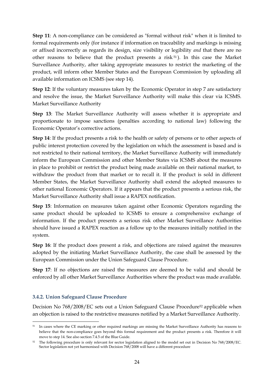**Step 11**: A non-compliance can be considered as "formal without risk" when it is limited to formal requirements only (for instance if information on traceability and markings is missing or affixed incorrectly as regards its design, size visibility or legibility *and* that there are no other reasons to believe that the product presents a risk <sup>51</sup> ). In this case the Market Surveillance Authority, after taking appropriate measures to restrict the marketing of the product, will inform other Member States and the European Commission by uploading all available information on ICSMS (see step 14).

**Step 12:** If the voluntary measures taken by the Economic Operator in step 7 are satisfactory and resolve the issue, the Market Surveillance Authority will make this clear via ICSMS. Market Surveillance Authority

**Step 13**: The Market Surveillance Authority will assess whether it is appropriate and proportionate to impose sanctions (penalties according to national law) following the Economic Operator's corrective actions.

**Step 14**: If the product presents a risk to the health or safety of persons or to other aspects of public interest protection covered by the legislation on which the assessment is based and is not restricted to their national territory, the Market Surveillance Authority will immediately inform the European Commission and other Member States via ICSMS about the measures in place to prohibit or restrict the product being made available on their national market, to withdraw the product from that market or to recall it. If the product is sold in different Member States, the Market Surveillance Authority shall extend the adopted measures to other national Economic Operators. If it appears that the product presents a serious risk, the Market Surveillance Authority shall issue a RAPEX notification.

**Step 15**: Information on measures taken against other Economic Operators regarding the same product should be uploaded to ICSMS to ensure a comprehensive exchange of information. If the product presents a serious risk other Market Surveillance Authorities should have issued a RAPEX reaction as a follow up to the measures initially notified in the system.

**Step 16**: If the product does present a risk, and objections are raised against the measures adopted by the initiating Market Surveillance Authority, the case shall be assessed by the European Commission under the Union Safeguard Clause Procedure.

**Step 17**: If no objections are raised the measures are deemed to be valid and should be enforced by all other Market Surveillance Authorities where the product was made available.

# <span id="page-24-0"></span>**3.4.2. Union Safeguard Clause Procedure**

**.** 

Decision No 768/2008/EC sets out a Union Safeguard Clause Procedure<sup>52</sup> applicable when an objection is raised to the restrictive measures notified by a Market Surveillance Authority.

<sup>51</sup> In cases where the CE marking or other required markings are missing the Market Surveillance Authority has reasons to believe that the non-compliance goes beyond this formal requirement and the product presents a risk. Therefore it will move to step 14. See also section 7.4.5 of the Blue Guide.

<sup>52</sup> The following procedure is only relevant for sector legislation aligned to the model set out in Decision No 768/2008/EC. Sector legislation not yet harmonised with Decision 768/2008 will have a different procedure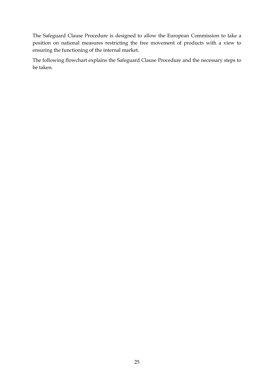The Safeguard Clause Procedure is designed to allow the European Commission to take a position on national measures restricting the free movement of products with a view to ensuring the functioning of the internal market.

The following flowchart explains the Safeguard Clause Procedure and the necessary steps to be taken.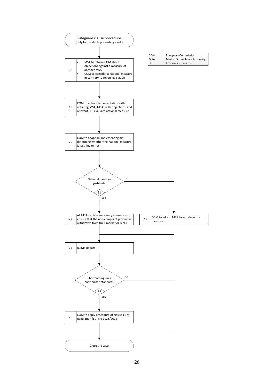

26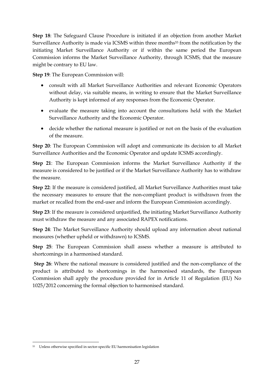**Step 18**: The Safeguard Clause Procedure is initiated if an objection from another Market Surveillance Authority is made via ICSMS within three months<sup>53</sup> from the notification by the initiating Market Surveillance Authority or if within the same period the European Commission informs the Market Surveillance Authority, through ICSMS, that the measure might be contrary to EU law.

**Step 19**: The European Commission will:

- consult with all Market Surveillance Authorities and relevant Economic Operators without delay, via suitable means, in writing to ensure that the Market Surveillance Authority is kept informed of any responses from the Economic Operator.
- evaluate the measure taking into account the consultations held with the Market Surveillance Authority and the Economic Operator.
- decide whether the national measure is justified or not on the basis of the evaluation of the measure.

**Step 20**: The European Commission will adopt and communicate its decision to all Market Surveillance Authorities and the Economic Operator and update ICSMS accordingly.

**Step 21**: The European Commission informs the Market Surveillance Authority if the measure is considered to be justified or if the Market Surveillance Authority has to withdraw the measure.

**Step 22**: If the measure is considered justified, all Market Surveillance Authorities must take the necessary measures to ensure that the non-compliant product is withdrawn from the market or recalled from the end-user and inform the European Commission accordingly.

**Step 23**: If the measure is considered unjustified, the initiating Market Surveillance Authority must withdraw the measure and any associated RAPEX notifications.

**Step 24**: The Market Surveillance Authority should upload any information about national measures (whether upheld or withdrawn) to ICSMS.

**Step 25**: The European Commission shall assess whether a measure is attributed to shortcomings in a harmonised standard.

**Step 26**: Where the national measure is considered justified and the non-compliance of the product is attributed to shortcomings in the harmonised standards, the European Commission shall apply the procedure provided for in Article 11 of Regulation (EU) No 1025/2012 concerning the formal objection to harmonised standard.

<sup>1</sup> <sup>53</sup> Unless otherwise specified in sector-specific EU harmonisation legislation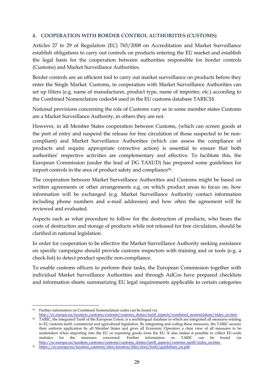## <span id="page-28-0"></span>**4. COOPERATION WITH BORDER CONTROL AUTHORITIES (CUSTOMS)**

Articles 27 to 29 of Regulation (EC) 765/2008 on Accreditation and Market Surveillance establish obligations to carry out controls on products entering the EU market and establish the legal basis for the cooperation between authorities responsible for border controls (Customs) and Market Surveillance Authorities.

Border controls are an efficient tool to carry out market surveillance on products before they enter the Single Market. Customs, in cooperation with Market Surveillance Authorities can set up filters (e.g. name of manufacturer, product type, name of importer, etc.) according to the Combined Nomenclature codes54 used in the EU customs database TARIC55.

National provisions concerning the role of Customs vary as in some member states Customs are a Market Surveillance Authority, in others they are not.

However, in all Member States cooperation between Customs, (which can screen goods at the port of entry and suspend the release for free circulation of those suspected to be noncompliant) and Market Surveillance Authorities (which can assess the compliance of products and require appropriate corrective action) is essential to ensure that both authorities' respective activities are complementary and effective. To facilitate this, the European Commission (under the lead of DG TAXUD) has prepared some guidelines for import controls in the area of product safety and compliance<sup>56</sup>.

The cooperation between Market Surveillance Authorities and Customs might be based on written agreements or other arrangements e.g. on which product areas to focus on, how information will be exchanged (e.g. Market Surveillance Authority contact information including phone numbers and e-mail addresses) and how often the agreement will be reviewed and evaluated.

Aspects such as what procedure to follow for the destruction of products, who bears the costs of destruction and storage of products while not released for free circulation, should be clarified in national legislation.

In order for cooperation to be effective the Market Surveillance Authority seeking assistance on specific campaigns should provide customs inspectors with training and or tools (e.g. a check-list) to detect product specific non-compliance.

To enable customs officers to perform their tasks, the European Commission together with individual Market Surveillance Authorities and through AdCos have prepared checklists and information sheets summarizing EU legal requirements applicable to certain categories

**<sup>.</sup>** <sup>54</sup> Further information on Combined Nomenclature codes can be found via

[http://ec.europa.eu/taxation\\_customs/customs/customs\\_duties/tariff\\_aspects/combined\\_nomenclature/index\\_en.htm.](http://ec.europa.eu/taxation_customs/customs/customs_duties/tariff_aspects/combined_nomenclature/index_en.htm) 

<sup>55</sup> TARIC, the integrated Tariff of the European Union, is a multilingual database in which are integrated all measures relating to EU customs tariff, commercial and agricultural legislation. By integrating and coding these measures, the TARIC secures their uniform application by all Member States and gives all Economic Operators a clear view of all measures to be undertaken when importing into the EU or exporting goods from the EU. It also makes it possible to collect EU-wide statistics for the measures concerned. Further information on TARIC can be found via [http://ec.europa.eu/taxation\\_customs/customs/customs\\_duties/tariff\\_aspects/customs\\_tariff/index\\_en.htm.](http://ec.europa.eu/taxation_customs/customs/customs_duties/tariff_aspects/customs_tariff/index_en.htm)

<sup>56</sup> [https://ec.europa.eu/taxation\\_customs/sites/taxation/files/docs/body/guidelines\\_en.pdf.](https://ec.europa.eu/taxation_customs/sites/taxation/files/docs/body/guidelines_en.pdf)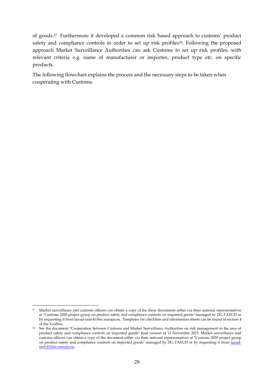of goods.<sup>57</sup> Furthermore it developed a common risk based approach to customs' product safety and compliance controls in order to set up risk profiles<sup>58</sup>. Following the proposed approach Market Surveillance Authorities can ask Customs to set up risk profiles, with relevant criteria e.g. name of manufacturer or importer, product type etc. on specific products.

The following flowchart explains the process and the necessary steps to be taken when cooperating with Customs.

**<sup>.</sup>** 57 Market surveillance and customs officers can obtain a copy of the these documents either via their national representatives at "Customs 2020 project group on product safety and compliance controls on imported goods" managed by DG TAXUD or by requesting it from taxud-unit-b1@ec.europa.eu. Templates for checklists and information sheets can be found in section 4 of the Toolbox.

<sup>58</sup> See the document "Cooperation between Customs and Market Surveillance Authorities on risk management in the area of product safety and compliance controls on imported goods" final version of 11 November 2015. Market surveillance and customs officers can obtain a copy of the document either via their national representatives at "Customs 2020 project group on product safety and compliance controls on imported goods" managed by DG TAXUD or by requesting it from [taxud](mailto:taxud-unit-b1@ec.europa.eu)[unit-b1@ec.europa.eu.](mailto:taxud-unit-b1@ec.europa.eu)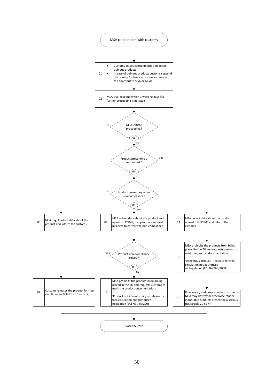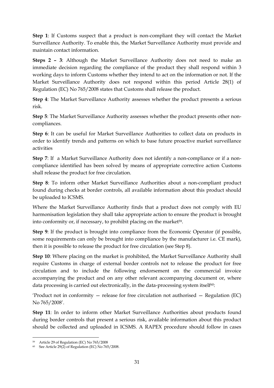**Step 1**: If Customs suspect that a product is non-compliant they will contact the Market Surveillance Authority. To enable this, the Market Surveillance Authority must provide and maintain contact information.

**Steps 2 – 3**: Although the Market Surveillance Authority does not need to make an immediate decision regarding the compliance of the product they shall respond within 3 working days to inform Customs whether they intend to act on the information or not. If the Market Surveillance Authority does not respond within this period Article 28(1) of Regulation (EC) No 765/2008 states that Customs shall release the product.

**Step 4**: The Market Surveillance Authority assesses whether the product presents a serious risk.

**Step 5**: The Market Surveillance Authority assesses whether the product presents other noncompliances.

**Step 6**: It can be useful for Market Surveillance Authorities to collect data on products in order to identify trends and patterns on which to base future proactive market surveillance activities

**Step 7**: If a Market Surveillance Authority does not identify a non-compliance or if a noncompliance identified has been solved by means of appropriate corrective action Customs shall release the product for free circulation.

**Step 8**: To inform other Market Surveillance Authorities about a non-compliant product found during checks at border controls, all available information about this product should be uploaded to ICSMS.

Where the Market Surveillance Authority finds that a product does not comply with EU harmonisation legislation they shall take appropriate action to ensure the product is brought into conformity or, if necessary, to prohibit placing on the market<sup>59</sup>.

**Step 9**: If the product is brought into compliance from the Economic Operator (if possible, some requirements can only be brought into compliance by the manufacturer i.e. CE mark), then it is possible to release the product for free circulation (see Step 8).

**Step 10**: Where placing on the market is prohibited, the Market Surveillance Authority shall require Customs in charge of external border controls not to release the product for free circulation and to include the following endorsement on the commercial invoice accompanying the product and on any other relevant accompanying document or, where data processing is carried out electronically, in the data-processing system itself $60$ :

'Product not in conformity — release for free circulation not authorised — Regulation (EC) No 765/2008'.

**Step 11**: In order to inform other Market Surveillance Authorities about products found during border controls that present a serious risk, available information about this product should be collected and uploaded in ICSMS. A RAPEX procedure should follow in cases

**<sup>.</sup>** <sup>59</sup> Article 29 of Regulation (EC) No 765/2008

<sup>60</sup> See Article 29(2) of Regulation (EC) No 765/2008.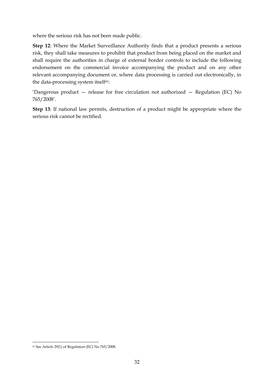where the serious risk has not been made public.

**Step 12**: Where the Market Surveillance Authority finds that a product presents a serious risk, they shall take measures to prohibit that product from being placed on the market and shall require the authorities in charge of external border controls to include the following endorsement on the commercial invoice accompanying the product and on any other relevant accompanying document or, where data processing is carried out electronically, in the data-processing system itself<sup>61</sup>:

'Dangerous product — release for free circulation not authorized — Regulation (EC) No 765/2008'.

**Step 13**: If national law permits, destruction of a product might be appropriate where the serious risk cannot be rectified.

<sup>1</sup> <sup>61</sup> See Article 29(1) of Regulation (EC) No 765/2008.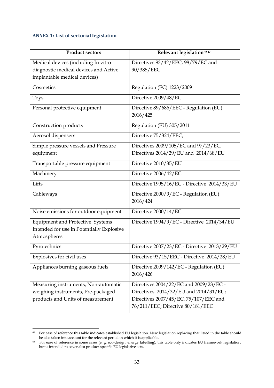# <span id="page-33-0"></span>**ANNEX 1: List of sectorial legislation**

 $\overline{\phantom{a}}$ 

| <b>Product sectors</b>                                                | Relevant legislation <sup>62</sup> <sup>63</sup>   |
|-----------------------------------------------------------------------|----------------------------------------------------|
| Medical devices (including In vitro                                   | Directives 93/42/EEC, 98/79/EC and                 |
| diagnostic medical devices and Active<br>implantable medical devices) | 90/385/EEC                                         |
| Cosmetics                                                             | Regulation (EC) 1223/2009                          |
| <b>Toys</b>                                                           | Directive 2009/48/EC                               |
| Personal protective equipment                                         | Directive 89/686/EEC - Regulation (EU)<br>2016/425 |
| Construction products                                                 | Regulation (EU) 305/2011                           |
| Aerosol dispensers                                                    | Directive 75/324/EEC,                              |
| Simple pressure vessels and Pressure                                  | Directives 2009/105/EC and 97/23/EC.               |
| equipment                                                             | Directives 2014/29/EU and 2014/68/EU               |
| Transportable pressure equipment                                      | Directive 2010/35/EU                               |
| Machinery                                                             | Directive 2006/42/EC                               |
| Lifts                                                                 | Directive 1995/16/EC - Directive 2014/33/EU        |
| Cableways                                                             | Directive 2000/9/EC - Regulation (EU)<br>2016/424  |
| Noise emissions for outdoor equipment                                 | Directive 2000/14/EC                               |
|                                                                       |                                                    |
| <b>Equipment and Protective Systems</b>                               | Directive 1994/9/EC - Directive 2014/34/EU         |
| Intended for use in Potentially Explosive<br>Atmospheres              |                                                    |
| Pyrotechnics                                                          | Directive 2007/23/EC - Directive 2013/29/EU        |
| Explosives for civil uses                                             | Directive 93/15/EEC - Directive 2014/28/EU         |
| Appliances burning gaseous fuels                                      | Directive 2009/142/EC - Regulation (EU)            |
|                                                                       | 2016/426                                           |
| Measuring instruments, Non-automatic                                  | Directives 2004/22/EC and 2009/23/EC -             |
| weighing instruments, Pre-packaged                                    | Directives 2014/32/EU and 2014/31/EU;              |
| products and Units of measurement                                     | Directives 2007/45/EC, 75/107/EEC and              |
|                                                                       | 76/211/EEC; Directive 80/181/EEC                   |

 $62$  For ease of reference this table indicates established EU legislation. New legislation replacing that listed in the table should be also taken into account for the relevant period in which it is applicable.<br><sup>63</sup> For ease of reference in some cases (e. g. eco-design, energy labelling), this table only indicates EU framework legislation,

but is intended to cover also product-specific EU legislative acts.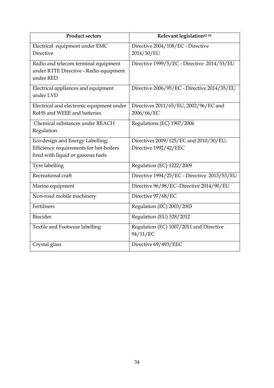| <b>Product sectors</b>                                                                                            | Relevant legislation <sup>62</sup> <sup>63</sup>                |
|-------------------------------------------------------------------------------------------------------------------|-----------------------------------------------------------------|
| Electrical equipment under EMC<br>Directive                                                                       | Directive 2004/108/EC - Directive<br>2014/30/EU                 |
| Radio and telecom terminal equipment<br>under RTTE Directive - Radio equipment<br>under RED                       | Directive 1999/5/EC - Directive 2014/53/EU                      |
| Electrical appliances and equipment<br>under LVD                                                                  | Directive 2006/95/EC - Directive 2014/35/EU                     |
| Electrical and electronic equipment under<br>RoHS and WEEE and batteries                                          | Directives 2011/65/EU, 2002/96/EC and<br>2006/66/EC             |
| Chemical substances under REACH<br>Regulation                                                                     | Regulations (EC) 1907/2006                                      |
| Eco-design and Energy Labelling;<br>Efficiency requirements for hot-boilers<br>fired with liquid or gaseous fuels | Directives 2009/125/EC and 2010/30/EU;<br>Directive 1992/42/EEC |
| Tyre labelling                                                                                                    | Regulation (EC) 1222/2009                                       |
| Recreational craft                                                                                                | Directive 1994/25/EC - Directive 2013/53/EU                     |
| Marine equipment                                                                                                  | Directive 96/98/EC -Directive 2014/90/EU                        |
| Non-road mobile machinery                                                                                         | Directive 97/68/EC                                              |
| Fertilisers                                                                                                       | Regulation (EC) 2003/2003                                       |
| <b>Biocides</b>                                                                                                   | Regulation (EU) 528/2012                                        |
| Textile and Footwear labelling                                                                                    | Regulation (EC) 1007/2011 and Directive<br>94/11/EC             |
| Crystal glass                                                                                                     | Directive 69/493/EEC                                            |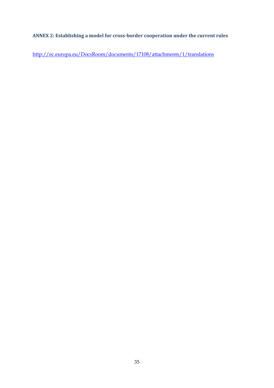# <span id="page-35-0"></span>**ANNEX 2: Establishing a model for cross-border cooperation under the current rules**

<http://ec.europa.eu/DocsRoom/documents/17108/attachments/1/translations>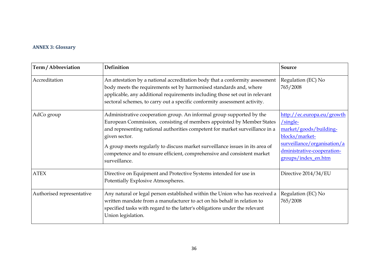# **ANNEX 3: Glossary**

<span id="page-36-0"></span>

| Term / Abbreviation       | Definition                                                                                                                                                                                                                                                                                                                                                                                                                 | Source                                                                                                                                                                   |
|---------------------------|----------------------------------------------------------------------------------------------------------------------------------------------------------------------------------------------------------------------------------------------------------------------------------------------------------------------------------------------------------------------------------------------------------------------------|--------------------------------------------------------------------------------------------------------------------------------------------------------------------------|
| Accreditation             | An attestation by a national accreditation body that a conformity assessment<br>body meets the requirements set by harmonised standards and, where<br>applicable, any additional requirements including those set out in relevant<br>sectoral schemes, to carry out a specific conformity assessment activity.                                                                                                             | Regulation (EC) No<br>765/2008                                                                                                                                           |
| AdCo group                | Administrative cooperation group. An informal group supported by the<br>European Commission, consisting of members appointed by Member States<br>and representing national authorities competent for market surveillance in a<br>given sector.<br>A group meets regularly to discuss market surveillance issues in its area of<br>competence and to ensure efficient, comprehensive and consistent market<br>surveillance. | http://ec.europa.eu/growth<br>$/single-$<br>market/goods/building-<br>blocks/market-<br>surveillance/organisation/a<br>dministrative-cooperation-<br>groups/index_en.htm |
| <b>ATEX</b>               | Directive on Equipment and Protective Systems intended for use in<br>Potentially Explosive Atmospheres.                                                                                                                                                                                                                                                                                                                    | Directive 2014/34/EU                                                                                                                                                     |
| Authorised representative | Any natural or legal person established within the Union who has received a<br>written mandate from a manufacturer to act on his behalf in relation to<br>specified tasks with regard to the latter's obligations under the relevant<br>Union legislation.                                                                                                                                                                 | Regulation (EC) No<br>765/2008                                                                                                                                           |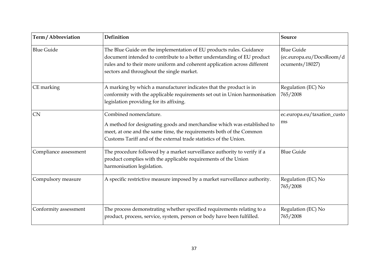| Term / Abbreviation   | Definition                                                                                                                                                                                                                                                               | <b>Source</b>                                                    |
|-----------------------|--------------------------------------------------------------------------------------------------------------------------------------------------------------------------------------------------------------------------------------------------------------------------|------------------------------------------------------------------|
| <b>Blue Guide</b>     | The Blue Guide on the implementation of EU products rules. Guidance<br>document intended to contribute to a better understanding of EU product<br>rules and to their more uniform and coherent application across different<br>sectors and throughout the single market. | <b>Blue Guide</b><br>(ec.europa.eu/DocsRoom/d<br>ocuments/18027) |
| CE marking            | A marking by which a manufacturer indicates that the product is in<br>conformity with the applicable requirements set out in Union harmonisation<br>legislation providing for its affixing.                                                                              | Regulation (EC) No<br>765/2008                                   |
| <b>CN</b>             | Combined nomenclature.<br>A method for designating goods and merchandise which was established to<br>meet, at one and the same time, the requirements both of the Common<br>Customs Tariff and of the external trade statistics of the Union.                            | ec.europa.eu/taxation_custo<br>ms                                |
| Compliance assessment | The procedure followed by a market surveillance authority to verify if a<br>product complies with the applicable requirements of the Union<br>harmonisation legislation.                                                                                                 | <b>Blue Guide</b>                                                |
| Compulsory measure    | A specific restrictive measure imposed by a market surveillance authority.                                                                                                                                                                                               | Regulation (EC) No<br>765/2008                                   |
| Conformity assessment | The process demonstrating whether specified requirements relating to a<br>product, process, service, system, person or body have been fulfilled.                                                                                                                         | Regulation (EC) No<br>765/2008                                   |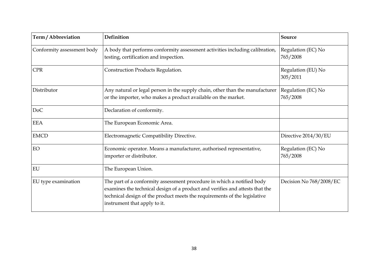| Term / Abbreviation        | Definition                                                                                                                                                                                                                                                          | Source                         |
|----------------------------|---------------------------------------------------------------------------------------------------------------------------------------------------------------------------------------------------------------------------------------------------------------------|--------------------------------|
| Conformity assessment body | A body that performs conformity assessment activities including calibration,<br>testing, certification and inspection.                                                                                                                                              | Regulation (EC) No<br>765/2008 |
| <b>CPR</b>                 | Construction Products Regulation.                                                                                                                                                                                                                                   | Regulation (EU) No<br>305/2011 |
| Distributor                | Any natural or legal person in the supply chain, other than the manufacturer<br>or the importer, who makes a product available on the market.                                                                                                                       | Regulation (EC) No<br>765/2008 |
| DoC                        | Declaration of conformity.                                                                                                                                                                                                                                          |                                |
| <b>EEA</b>                 | The European Economic Area.                                                                                                                                                                                                                                         |                                |
| <b>EMCD</b>                | Electromagnetic Compatibility Directive.                                                                                                                                                                                                                            | Directive 2014/30/EU           |
| EO                         | Economic operator. Means a manufacturer, authorised representative,<br>importer or distributor.                                                                                                                                                                     | Regulation (EC) No<br>765/2008 |
| EU                         | The European Union.                                                                                                                                                                                                                                                 |                                |
| EU type examination        | The part of a conformity assessment procedure in which a notified body<br>examines the technical design of a product and verifies and attests that the<br>technical design of the product meets the requirements of the legislative<br>instrument that apply to it. | Decision No 768/2008/EC        |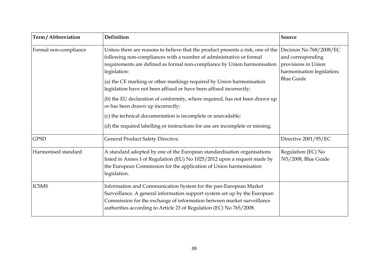| Term / Abbreviation   | Definition                                                                                                                                                                                                                                                                                                                                                                                                                                                                                                                                                                                                                                                               | Source                                                                                                                 |
|-----------------------|--------------------------------------------------------------------------------------------------------------------------------------------------------------------------------------------------------------------------------------------------------------------------------------------------------------------------------------------------------------------------------------------------------------------------------------------------------------------------------------------------------------------------------------------------------------------------------------------------------------------------------------------------------------------------|------------------------------------------------------------------------------------------------------------------------|
| Formal non-compliance | Unless there are reasons to believe that the product presents a risk, one of the<br>following non-compliances with a number of administrative or formal<br>requirements are defined as formal non-compliance by Union harmonisation<br>legislation:<br>(a) the CE marking or other markings required by Union harmonisation<br>legislation have not been affixed or have been affixed incorrectly;<br>(b) the EU declaration of conformity, where required, has not been drawn up<br>or has been drawn up incorrectly;<br>(c) the technical documentation is incomplete or unavailable;<br>(d) the required labelling or instructions for use are incomplete or missing. | Decision No 768/2008/EC<br>and corresponding<br>provisions in Union<br>harmonisation legislation;<br><b>Blue Guide</b> |
| <b>GPSD</b>           | General Product Safety Directive.                                                                                                                                                                                                                                                                                                                                                                                                                                                                                                                                                                                                                                        | Directive 2001/95/EC                                                                                                   |
| Harmonised standard   | A standard adopted by one of the European standardisation organisations<br>listed in Annex I of Regulation (EU) No 1025/2012 upon a request made by<br>the European Commission for the application of Union harmonisation<br>legislation.                                                                                                                                                                                                                                                                                                                                                                                                                                | Regulation (EC) No<br>765/2008, Blue Guide                                                                             |
| <b>ICSMS</b>          | Information and Communication System for the pan-European Market<br>Surveillance. A general information support system set up by the European<br>Commission for the exchange of information between market surveillance<br>authorities according to Article 23 of Regulation (EC) No 765/2008.                                                                                                                                                                                                                                                                                                                                                                           |                                                                                                                        |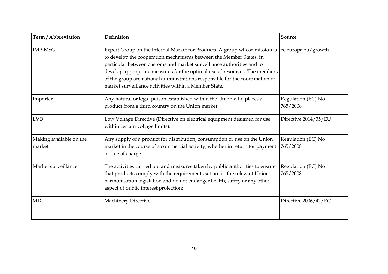| Term / Abbreviation               | Definition                                                                                                                                                                                                                                                                                                                                                                                                                                                              | Source                         |
|-----------------------------------|-------------------------------------------------------------------------------------------------------------------------------------------------------------------------------------------------------------------------------------------------------------------------------------------------------------------------------------------------------------------------------------------------------------------------------------------------------------------------|--------------------------------|
| <b>IMP-MSG</b>                    | Expert Group on the Internal Market for Products. A group whose mission is  ec.europa.eu/growth<br>to develop the cooperation mechanisms between the Member States, in<br>particular between customs and market surveillance authorities and to<br>develop appropriate measures for the optimal use of resources. The members<br>of the group are national administrations responsible for the coordination of<br>market surveillance activities within a Member State. |                                |
| Importer                          | Any natural or legal person established within the Union who places a<br>product from a third country on the Union market;                                                                                                                                                                                                                                                                                                                                              | Regulation (EC) No<br>765/2008 |
| <b>LVD</b>                        | Low Voltage Directive (Directive on electrical equipment designed for use<br>within certain voltage limits).                                                                                                                                                                                                                                                                                                                                                            | Directive 2014/35/EU           |
| Making available on the<br>market | Any supply of a product for distribution, consumption or use on the Union<br>market in the course of a commercial activity, whether in return for payment<br>or free of charge.                                                                                                                                                                                                                                                                                         | Regulation (EC) No<br>765/2008 |
| Market surveillance               | The activities carried out and measures taken by public authorities to ensure<br>that products comply with the requirements set out in the relevant Union<br>harmonisation legislation and do not endanger health, safety or any other<br>aspect of public interest protection;                                                                                                                                                                                         | Regulation (EC) No<br>765/2008 |
| <b>MD</b>                         | Machinery Directive.                                                                                                                                                                                                                                                                                                                                                                                                                                                    | Directive 2006/42/EC           |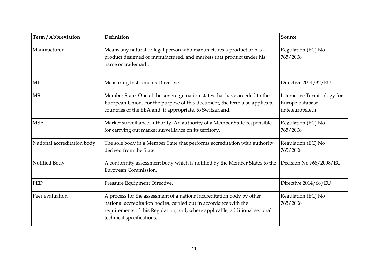| Term / Abbreviation         | Definition                                                                                                                                                                                                                                              | <b>Source</b>                                                      |
|-----------------------------|---------------------------------------------------------------------------------------------------------------------------------------------------------------------------------------------------------------------------------------------------------|--------------------------------------------------------------------|
| Manufacturer                | Means any natural or legal person who manufactures a product or has a<br>product designed or manufactured, and markets that product under his<br>name or trademark.                                                                                     | Regulation (EC) No<br>765/2008                                     |
| MI                          | Measuring Instruments Directive.                                                                                                                                                                                                                        | Directive 2014/32/EU                                               |
| <b>MS</b>                   | Member State. One of the sovereign nation states that have acceded to the<br>European Union. For the purpose of this document, the term also applies to<br>countries of the EEA and, if appropriate, to Switzerland.                                    | Interactive Terminology for<br>Europe database<br>(iate.europa.eu) |
| <b>MSA</b>                  | Market surveillance authority. An authority of a Member State responsible<br>for carrying out market surveillance on its territory.                                                                                                                     | Regulation (EC) No<br>765/2008                                     |
| National accreditation body | The sole body in a Member State that performs accreditation with authority<br>derived from the State.                                                                                                                                                   | Regulation (EC) No<br>765/2008                                     |
| Notified Body               | A conformity assessment body which is notified by the Member States to the<br>European Commission.                                                                                                                                                      | Decision No 768/2008/EC                                            |
| PED                         | Pressure Equipment Directive.                                                                                                                                                                                                                           | Directive 2014/68/EU                                               |
| Peer evaluation             | A process for the assessment of a national accreditation body by other<br>national accreditation bodies, carried out in accordance with the<br>requirements of this Regulation, and, where applicable, additional sectoral<br>technical specifications. | Regulation (EC) No<br>765/2008                                     |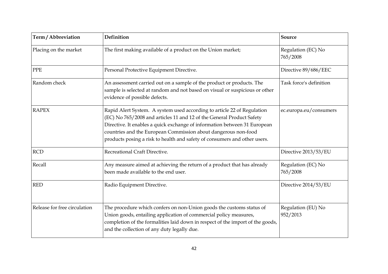| Term / Abbreviation          | <b>Definition</b>                                                                                                                                                                                                                                                                                                                                                            | <b>Source</b>                  |
|------------------------------|------------------------------------------------------------------------------------------------------------------------------------------------------------------------------------------------------------------------------------------------------------------------------------------------------------------------------------------------------------------------------|--------------------------------|
| Placing on the market        | The first making available of a product on the Union market;                                                                                                                                                                                                                                                                                                                 | Regulation (EC) No<br>765/2008 |
| <b>PPE</b>                   | Personal Protective Equipment Directive.                                                                                                                                                                                                                                                                                                                                     | Directive 89/686/EEC           |
| Random check                 | An assessment carried out on a sample of the product or products. The<br>sample is selected at random and not based on visual or suspicious or other<br>evidence of possible defects.                                                                                                                                                                                        | Task force's definition        |
| <b>RAPEX</b>                 | Rapid Alert System. A system used according to article 22 of Regulation<br>(EC) No 765/2008 and articles 11 and 12 of the General Product Safety<br>Directive. It enables a quick exchange of information between 31 European<br>countries and the European Commission about dangerous non-food<br>products posing a risk to health and safety of consumers and other users. | ec.europa.eu/consumers         |
| <b>RCD</b>                   | Recreational Craft Directive.                                                                                                                                                                                                                                                                                                                                                | Directive 2013/53/EU           |
| Recall                       | Any measure aimed at achieving the return of a product that has already<br>been made available to the end user.                                                                                                                                                                                                                                                              | Regulation (EC) No<br>765/2008 |
| <b>RED</b>                   | Radio Equipment Directive.                                                                                                                                                                                                                                                                                                                                                   | Directive 2014/53/EU           |
| Release for free circulation | The procedure which confers on non-Union goods the customs status of<br>Union goods, entailing application of commercial policy measures,<br>completion of the formalities laid down in respect of the import of the goods,<br>and the collection of any duty legally due.                                                                                                   | Regulation (EU) No<br>952/2013 |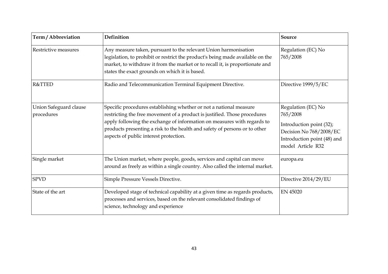| Term / Abbreviation                  | Definition                                                                                                                                                                                                                                                                                                                                         | Source                                                                                                                                    |
|--------------------------------------|----------------------------------------------------------------------------------------------------------------------------------------------------------------------------------------------------------------------------------------------------------------------------------------------------------------------------------------------------|-------------------------------------------------------------------------------------------------------------------------------------------|
| Restrictive measures                 | Any measure taken, pursuant to the relevant Union harmonisation<br>legislation, to prohibit or restrict the product's being made available on the<br>market, to withdraw it from the market or to recall it, is proportionate and<br>states the exact grounds on which it is based.                                                                | Regulation (EC) No<br>765/2008                                                                                                            |
| R&TTED                               | Radio and Telecommunication Terminal Equipment Directive.                                                                                                                                                                                                                                                                                          | Directive 1999/5/EC                                                                                                                       |
| Union Safeguard clause<br>procedures | Specific procedures establishing whether or not a national measure<br>restricting the free movement of a product is justified. Those procedures<br>apply following the exchange of information on measures with regards to<br>products presenting a risk to the health and safety of persons or to other<br>aspects of public interest protection. | Regulation (EC) No<br>765/2008<br>Introduction point (32);<br>Decision No 768/2008/EC<br>Introduction point (48) and<br>model Article R32 |
| Single market                        | The Union market, where people, goods, services and capital can move<br>around as freely as within a single country. Also called the internal market.                                                                                                                                                                                              | europa.eu                                                                                                                                 |
| <b>SPVD</b>                          | Simple Pressure Vessels Directive.                                                                                                                                                                                                                                                                                                                 | Directive 2014/29/EU                                                                                                                      |
| State of the art                     | Developed stage of technical capability at a given time as regards products,<br>processes and services, based on the relevant consolidated findings of<br>science, technology and experience                                                                                                                                                       | EN 45020                                                                                                                                  |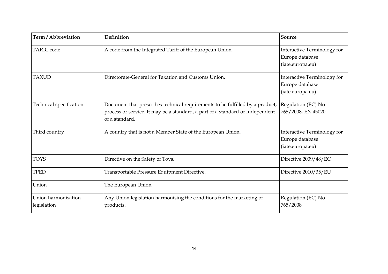| Term / Abbreviation                | Definition                                                                                                                                                                       | Source                                                             |
|------------------------------------|----------------------------------------------------------------------------------------------------------------------------------------------------------------------------------|--------------------------------------------------------------------|
| <b>TARIC</b> code                  | A code from the Integrated Tariff of the European Union.                                                                                                                         | Interactive Terminology for<br>Europe database<br>(iate.europa.eu) |
| <b>TAXUD</b>                       | Directorate-General for Taxation and Customs Union.                                                                                                                              | Interactive Terminology for<br>Europe database<br>(iate.europa.eu) |
| Technical specification            | Document that prescribes technical requirements to be fulfilled by a product,<br>process or service. It may be a standard, a part of a standard or independent<br>of a standard. | Regulation (EC) No<br>765/2008, EN 45020                           |
| Third country                      | A country that is not a Member State of the European Union.                                                                                                                      | Interactive Terminology for<br>Europe database<br>(iate.europa.eu) |
| <b>TOYS</b>                        | Directive on the Safety of Toys.                                                                                                                                                 | Directive 2009/48/EC                                               |
| <b>TPED</b>                        | Transportable Pressure Equipment Directive.                                                                                                                                      | Directive 2010/35/EU                                               |
| Union                              | The European Union.                                                                                                                                                              |                                                                    |
| Union harmonisation<br>legislation | Any Union legislation harmonising the conditions for the marketing of<br>products.                                                                                               | Regulation (EC) No<br>765/2008                                     |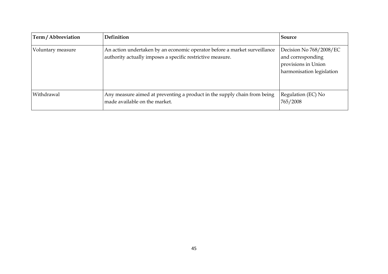| Term/Abbreviation | Definition                                                                                                                              | Source                                                                                           |
|-------------------|-----------------------------------------------------------------------------------------------------------------------------------------|--------------------------------------------------------------------------------------------------|
| Voluntary measure | An action undertaken by an economic operator before a market surveillance<br>authority actually imposes a specific restrictive measure. | Decision No 768/2008/EC<br>and corresponding<br>provisions in Union<br>harmonisation legislation |
| Withdrawal        | Any measure aimed at preventing a product in the supply chain from being<br>made available on the market.                               | Regulation (EC) No<br>765/2008                                                                   |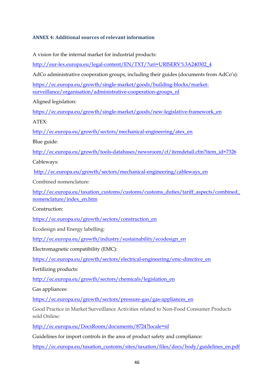# <span id="page-46-0"></span>**ANNEX 4: Additional sources of relevant information**

A vision for the internal market for industrial products:

[http://eur-lex.europa.eu/legal-content/EN/TXT/?uri=URISERV%3A240302\\_4](http://eur-lex.europa.eu/legal-content/EN/TXT/?uri=URISERV%3A240302_4)

AdCo administrative cooperation groups, including their guides (documents from AdCo's):

[https://ec.europa.eu/growth/single-market/goods/building-blocks/market](https://ec.europa.eu/growth/single-market/goods/building-blocks/market-surveillance/organisation/administrative-cooperation-groups_nl)[surveillance/organisation/administrative-cooperation-groups\\_nl](https://ec.europa.eu/growth/single-market/goods/building-blocks/market-surveillance/organisation/administrative-cooperation-groups_nl)

Aligned legislation:

[https://ec.europa.eu/growth/single-market/goods/new-legislative-framework\\_en](https://ec.europa.eu/growth/single-market/goods/new-legislative-framework_en)

 $ATEX$ 

[http://ec.europa.eu/growth/sectors/mechanical-engineering/atex\\_en](http://ec.europa.eu/growth/sectors/mechanical-engineering/atex_en)

Blue guide:

[http://ec.europa.eu/growth/tools-databases/newsroom/cf/itemdetail.cfm?item\\_id=7326](http://ec.europa.eu/growth/tools-databases/newsroom/cf/itemdetail.cfm?item_id=7326)

Cableways:

[http://ec.europa.eu/growth/sectors/mechanical-engineering/cableways\\_en](http://ec.europa.eu/growth/sectors/mechanical-engineering/cableways_en)

Combined nomenclature:

[http://ec.europa.eu/taxation\\_customs/customs/customs\\_duties/tariff\\_aspects/combined\\_](http://ec.europa.eu/taxation_customs/customs/customs_duties/tariff_aspects/combined_nomenclature/index_en.htm) [nomenclature/index\\_en.htm](http://ec.europa.eu/taxation_customs/customs/customs_duties/tariff_aspects/combined_nomenclature/index_en.htm)

Construction:

[https://ec.europa.eu/growth/sectors/construction\\_en](https://ec.europa.eu/growth/sectors/construction_en)

Ecodesign and Energy labelling:

[http://ec.europa.eu/growth/industry/sustainability/ecodesign\\_en](http://ec.europa.eu/growth/industry/sustainability/ecodesign_en)

Electromagnetic compatibility (EMC):

[https://ec.europa.eu/growth/sectors/electrical-engineering/emc-directive\\_en](https://ec.europa.eu/growth/sectors/electrical-engineering/emc-directive_en)

Fertilizing products:

[http://ec.europa.eu/growth/sectors/chemicals/legislation\\_en](http://ec.europa.eu/growth/sectors/chemicals/legislation_en)

Gas appliances:

[https://ec.europa.eu/growth/sectors/pressure-gas/gas-appliances\\_en](https://ec.europa.eu/growth/sectors/pressure-gas/gas-appliances_en)

Good Practice in Market Surveillance Activities related to Non-Food Consumer Products sold Online:

<http://ec.europa.eu/DocsRoom/documents/8724?locale=nl>

Guidelines for import controls in the area of product safety and compliance:

[https://ec.europa.eu/taxation\\_customs/sites/taxation/files/docs/body/guidelines\\_en.pdf](https://ec.europa.eu/taxation_customs/sites/taxation/files/docs/body/guidelines_en.pdf)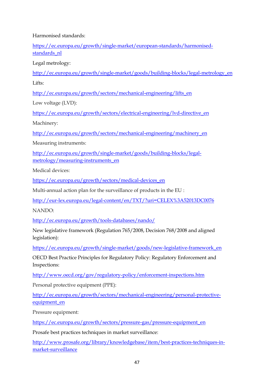Harmonised standards:

[https://ec.europa.eu/growth/single-market/european-standards/harmonised](https://ec.europa.eu/growth/single-market/european-standards/harmonised-standards_nl)standards nl

Legal metrology:

[http://ec.europa.eu/growth/single-market/goods/building-blocks/legal-metrology\\_en](http://ec.europa.eu/growth/single-market/goods/building-blocks/legal-metrology_en) Lifts:

[http://ec.europa.eu/growth/sectors/mechanical-engineering/lifts\\_en](http://ec.europa.eu/growth/sectors/mechanical-engineering/lifts_en)

Low voltage (LVD):

[https://ec.europa.eu/growth/sectors/electrical-engineering/lvd-directive\\_en](https://ec.europa.eu/growth/sectors/electrical-engineering/lvd-directive_en)

Machinery:

[http://ec.europa.eu/growth/sectors/mechanical-engineering/machinery\\_en](http://ec.europa.eu/growth/sectors/mechanical-engineering/machinery_en)

Measuring instruments:

[http://ec.europa.eu/growth/single-market/goods/building-blocks/legal](http://ec.europa.eu/growth/single-market/goods/building-blocks/legal-metrology/measuring-instruments_en)[metrology/measuring-instruments\\_en](http://ec.europa.eu/growth/single-market/goods/building-blocks/legal-metrology/measuring-instruments_en)

Medical devices:

[https://ec.europa.eu/growth/sectors/medical-devices\\_en](https://ec.europa.eu/growth/sectors/medical-devices_en)

Multi-annual action plan for the surveillance of products in the EU :

<http://eur-lex.europa.eu/legal-content/en/TXT/?uri=CELEX%3A52013DC0076>

NANDO:

http://ec.europa.eu/growth/tools-databases/nando/

New legislative framework (Regulation 765/2008, Decision 768/2008 and aligned legislation):

[https://ec.europa.eu/growth/single-market/goods/new-legislative-framework\\_en](https://ec.europa.eu/growth/single-market/goods/new-legislative-framework_en)

OECD Best Practice Principles for Regulatory Policy: Regulatory Enforcement and Inspections:

<http://www.oecd.org/gov/regulatory-policy/enforcement-inspections.htm>

Personal protective equipment (PPE):

[http://ec.europa.eu/growth/sectors/mechanical-engineering/personal-protective](http://ec.europa.eu/growth/sectors/mechanical-engineering/personal-protective-equipment_en)[equipment\\_en](http://ec.europa.eu/growth/sectors/mechanical-engineering/personal-protective-equipment_en)

Pressure equipment:

[https://ec.europa.eu/growth/sectors/pressure-gas/pressure-equipment\\_en](https://ec.europa.eu/growth/sectors/pressure-gas/pressure-equipment_en)

Prosafe best practices techniques in market surveillance:

[http://www.prosafe.org/library/knowledgebase/item/best-practices-techniques-in](http://www.prosafe.org/library/knowledgebase/item/best-practices-techniques-in-market-surveillance)[market-surveillance](http://www.prosafe.org/library/knowledgebase/item/best-practices-techniques-in-market-surveillance)